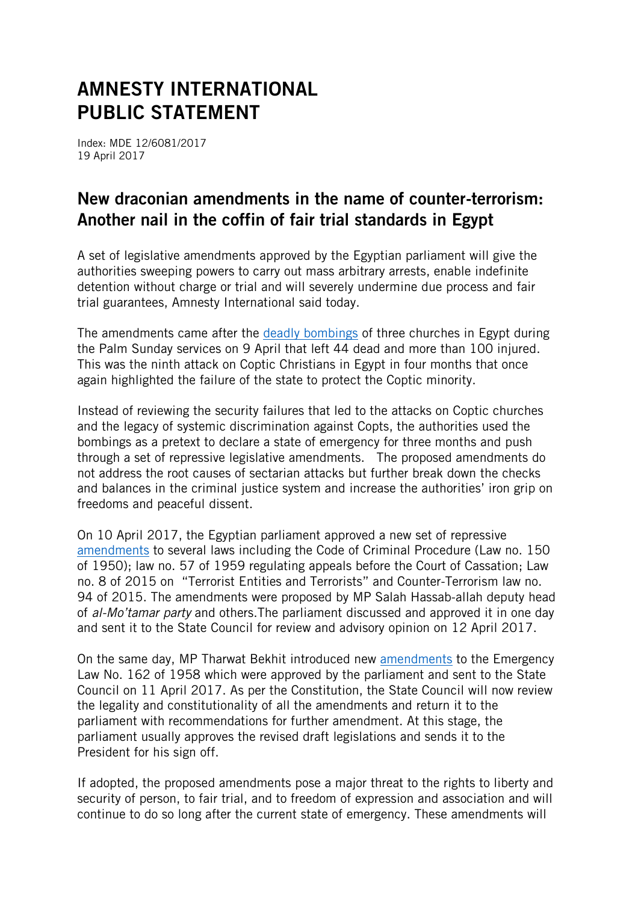# AMNESTY INTERNATIONAL PUBLIC STATEMENT

Index: MDE 12/6081/2017 19 April 2017

# New draconian amendments in the name of counter-terrorism: Another nail in the coffin of fair trial standards in Egypt

A set of legislative amendments approved by the Egyptian parliament will give the authorities sweeping powers to carry out mass arbitrary arrests, enable indefinite detention without charge or trial and will severely undermine due process and fair trial guarantees, Amnesty International said today.

The amendments came after the [deadly bombings](https://www.amnesty.org/en/latest/news/2017/04/egypt-authorities-must-address-sectarian-violence-not-abuse-emergency-powers/) of three churches in Egypt during the Palm Sunday services on 9 April that left 44 dead and more than 100 injured. This was the ninth attack on Coptic Christians in Egypt in four months that once again highlighted the failure of the state to protect the Coptic minority.

Instead of reviewing the security failures that led to the attacks on Coptic churches and the legacy of systemic discrimination against Copts, the authorities used the bombings as a pretext to declare a state of emergency for three months and push through a set of repressive legislative amendments. The proposed amendments do not address the root causes of sectarian attacks but further break down the checks and balances in the criminal justice system and increase the authorities' iron grip on freedoms and peaceful dissent.

On 10 April 2017, the Egyptian parliament approved a new set of repressive [amendments](http://m.parlmany.com/News/4/168326/ننشر-نص-تعديلات-البرلمان-على-قوانين-الإجرءات-الجنائية-والكيانات-الإرهابية) to several laws including the Code of Criminal Procedure (Law no. 150 of 1950); law no. 57 of 1959 regulating appeals before the Court of Cassation; Law no. 8 of 2015 on "Terrorist Entities and Terrorists" and Counter-Terrorism law no. 94 of 2015. The amendments were proposed by MP Salah Hassab-allah deputy head of *al-Mo'tamar party* and others.The parliament discussed and approved it in one day and sent it to the State Council for review and advisory opinion on 12 April 2017.

On the same day, MP Tharwat Bekhit introduced new [amendments](http://elbadil.com/latest_news/البرلمان-يوافق-على-تعديل-قانون-الطوار/) to the Emergency Law No. 162 of 1958 which were approved by the parliament and sent to the State Council on 11 April 2017. As per the Constitution, the State Council will now review the legality and constitutionality of all the amendments and return it to the parliament with recommendations for further amendment. At this stage, the parliament usually approves the revised draft legislations and sends it to the President for his sign off.

If adopted, the proposed amendments pose a major threat to the rights to liberty and security of person, to fair trial, and to freedom of expression and association and will continue to do so long after the current state of emergency. These amendments will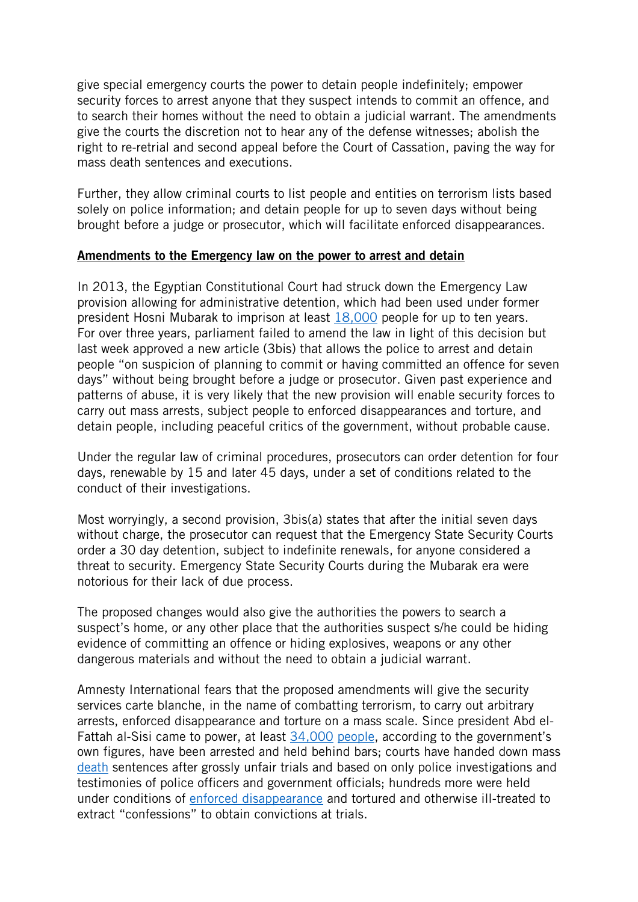give special emergency courts the power to detain people indefinitely; empower security forces to arrest anyone that they suspect intends to commit an offence, and to search their homes without the need to obtain a judicial warrant. The amendments give the courts the discretion not to hear any of the defense witnesses; abolish the right to re-retrial and second appeal before the Court of Cassation, paving the way for mass death sentences and executions.

Further, they allow criminal courts to list people and entities on terrorism lists based solely on police information; and detain people for up to seven days without being brought before a judge or prosecutor, which will facilitate enforced disappearances.

#### Amendments to the Emergency law on the power to arrest and detain

In 2013, the Egyptian Constitutional Court had struck down the Emergency Law provision allowing for administrative detention, which had been used under former president Hosni Mubarak to imprison at least [18,000](https://www.amnesty.org/en/documents/mde12/001/2007/en/) people for up to ten years. For over three years, parliament failed to amend the law in light of this decision but last week approved a new article (3bis) that allows the police to arrest and detain people "on suspicion of planning to commit or having committed an offence for seven days" without being brought before a judge or prosecutor. Given past experience and patterns of abuse, it is very likely that the new provision will enable security forces to carry out mass arrests, subject people to enforced disappearances and torture, and detain people, including peaceful critics of the government, without probable cause.

Under the regular law of criminal procedures, prosecutors can order detention for four days, renewable by 15 and later 45 days, under a set of conditions related to the conduct of their investigations.

Most worryingly, a second provision, 3bis(a) states that after the initial seven days without charge, the prosecutor can request that the Emergency State Security Courts order a 30 day detention, subject to indefinite renewals, for anyone considered a threat to security. Emergency State Security Courts during the Mubarak era were notorious for their lack of due process.

The proposed changes would also give the authorities the powers to search a suspect's home, or any other place that the authorities suspect s/he could be hiding evidence of committing an offence or hiding explosives, weapons or any other dangerous materials and without the need to obtain a judicial warrant.

Amnesty International fears that the proposed amendments will give the security services carte blanche, in the name of combatting terrorism, to carry out arbitrary arrests, enforced disappearance and torture on a mass scale. Since president Abd el-Fattah al-Sisi came to power, at least [34,000](https://eipr.org/en/press/2014/12/executive-summary-fact-finding-commissions-report-falls-short-expectations) [people,](http://www.madamasr.com/en/2015/10/30/news/u/almost-12000-people-arrested-for-terrorism-in-2015-interior-ministry/) according to the government's own figures, have been arrested and held behind bars; courts have handed down mass [death](https://www.amnesty.org/en/latest/news/2014/06/egypt-sentences-further-people-death-new-purge-political-opposition/) sentences after grossly unfair trials and based on only police investigations and testimonies of police officers and government officials; hundreds more were held under conditions of [enforced disappearance](https://www.amnesty.org/en/documents/mde12/4368/2016/en/) and tortured and otherwise ill-treated to extract "confessions" to obtain convictions at trials.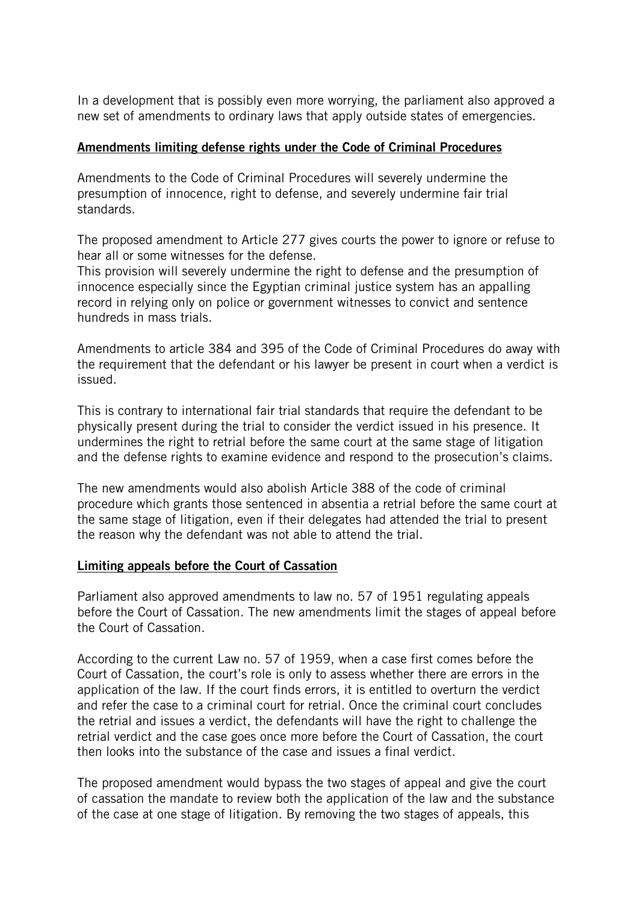In a development that is possibly even more worrying, the parliament also approved a new set of amendments to ordinary laws that apply outside states of emergencies.

## Amendments limiting defense rights under the Code of Criminal Procedures

Amendments to the Code of Criminal Procedures will severely undermine the presumption of innocence, right to defense, and severely undermine fair trial standards.

The proposed amendment to Article 277 gives courts the power to ignore or refuse to hear all or some witnesses for the defense.

This provision will severely undermine the right to defense and the presumption of innocence especially since the Egyptian criminal justice system has an appalling record in relying only on police or government witnesses to convict and sentence hundreds in mass trials.

Amendments to article 384 and 395 of the Code of Criminal Procedures do away with the requirement that the defendant or his lawyer be present in court when a verdict is issued.

This is contrary to international fair trial standards that require the defendant to be physically present during the trial to consider the verdict issued in his presence. It undermines the right to retrial before the same court at the same stage of litigation and the defense rights to examine evidence and respond to the prosecution's claims.

The new amendments would also abolish Article 388 of the code of criminal procedure which grants those sentenced in absentia a retrial before the same court at the same stage of litigation, even if their delegates had attended the trial to present the reason why the defendant was not able to attend the trial.

#### Limiting appeals before the Court of Cassation

Parliament also approved amendments to law no. 57 of 1951 regulating appeals before the Court of Cassation. The new amendments limit the stages of appeal before the Court of Cassation.

According to the current Law no. 57 of 1959, when a case first comes before the Court of Cassation, the court's role is only to assess whether there are errors in the application of the law. If the court finds errors, it is entitled to overturn the verdict and refer the case to a criminal court for retrial. Once the criminal court concludes the retrial and issues a verdict, the defendants will have the right to challenge the retrial verdict and the case goes once more before the Court of Cassation, the court then looks into the substance of the case and issues a final verdict.

The proposed amendment would bypass the two stages of appeal and give the court of cassation the mandate to review both the application of the law and the substance of the case at one stage of litigation. By removing the two stages of appeals, this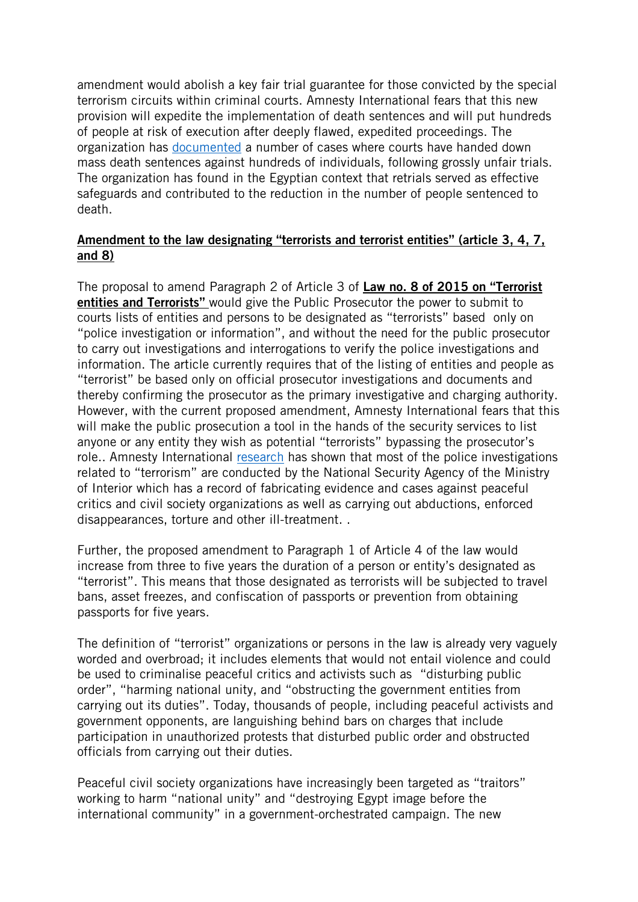amendment would abolish a key fair trial guarantee for those convicted by the special terrorism circuits within criminal courts. Amnesty International fears that this new provision will expedite the implementation of death sentences and will put hundreds of people at risk of execution after deeply flawed, expedited proceedings. The organization has [documented](https://www.amnesty.org/en/latest/news/2014/06/egypt-sentences-further-people-death-new-purge-political-opposition/) a number of cases where courts have handed down mass death sentences against hundreds of individuals, following grossly unfair trials. The organization has found in the Egyptian context that retrials served as effective safeguards and contributed to the reduction in the number of people sentenced to death.

## Amendment to the law designating "terrorists and terrorist entities" (article 3, 4, 7, and 8)

The proposal to amend Paragraph 2 of Article 3 of Law no. 8 of 2015 on "Terrorist entities and Terrorists" would give the Public Prosecutor the power to submit to courts lists of entities and persons to be designated as "terrorists" based only on "police investigation or information", and without the need for the public prosecutor to carry out investigations and interrogations to verify the police investigations and information. The article currently requires that of the listing of entities and people as "terrorist" be based only on official prosecutor investigations and documents and thereby confirming the prosecutor as the primary investigative and charging authority. However, with the current proposed amendment, Amnesty International fears that this will make the public prosecution a tool in the hands of the security services to list anyone or any entity they wish as potential "terrorists" bypassing the prosecutor's role.. Amnesty International [research](https://www.amnesty.org/en/latest/news/2016/07/egypt-hundreds-disappeared-and-tortured-amid-wave-of-brutal-repression/) has shown that most of the police investigations related to "terrorism" are conducted by the National Security Agency of the Ministry of Interior which has a record of fabricating evidence and cases against peaceful critics and civil society organizations as well as carrying out abductions, enforced disappearances, torture and other ill-treatment. .

Further, the proposed amendment to Paragraph 1 of Article 4 of the law would increase from three to five years the duration of a person or entity's designated as "terrorist". This means that those designated as terrorists will be subjected to travel bans, asset freezes, and confiscation of passports or prevention from obtaining passports for five years.

The definition of "terrorist" organizations or persons in the law is already very vaguely worded and overbroad; it includes elements that would not entail violence and could be used to criminalise peaceful critics and activists such as "disturbing public order", "harming national unity, and "obstructing the government entities from carrying out its duties". Today, thousands of people, including peaceful activists and government opponents, are languishing behind bars on charges that include participation in unauthorized protests that disturbed public order and obstructed officials from carrying out their duties.

Peaceful civil society organizations have increasingly been targeted as "traitors" working to harm "national unity" and "destroying Egypt image before the international community" in a government-orchestrated campaign. The new